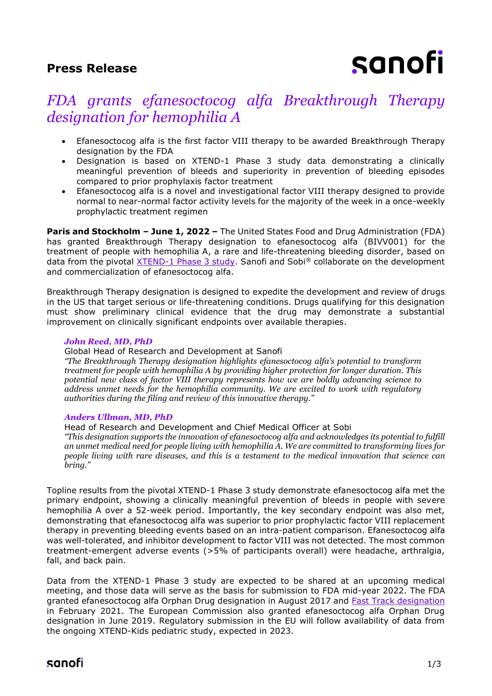### **Press Release**

# sanofi

# *FDA grants efanesoctocog alfa Breakthrough Therapy designation for hemophilia A*

- Efanesoctocog alfa is the first factor VIII therapy to be awarded Breakthrough Therapy designation by the FDA
- Designation is based on XTEND-1 Phase 3 study data demonstrating a clinically meaningful prevention of bleeds and superiority in prevention of bleeding episodes compared to prior prophylaxis factor treatment
- Efanesoctocog alfa is a novel and investigational factor VIII therapy designed to provide normal to near-normal factor activity levels for the majority of the week in a once-weekly prophylactic treatment regimen

**Paris and Stockholm – June 1, 2022 –** The United States Food and Drug Administration (FDA) has granted Breakthrough Therapy designation to efanesoctocog alfa (BIVV001) for the treatment of people with hemophilia A, a rare and life-threatening bleeding disorder, based on data from the pivotal [XTEND-1 Phase 3 study.](https://www.sanofi.com/en/media-room/press-releases/2022/2022-03-09-07-00-00-2399557) Sanofi and Sobi *®* collaborate on the development and commercialization of efanesoctocog alfa.

Breakthrough Therapy designation is designed to expedite the development and review of drugs in the US that target serious or life-threatening conditions. Drugs qualifying for this designation must show preliminary clinical evidence that the drug may demonstrate a substantial improvement on clinically significant endpoints over available therapies.

#### *John Reed, MD, PhD*

#### Global Head of Research and Development at Sanofi

*"The Breakthrough Therapy designation highlights efanesoctocog alfa's potential to transform treatment for people with hemophilia A by providing higher protection for longer duration. This potential new class of factor VIII therapy represents how we are boldly advancing science to address unmet needs for the hemophilia community. We are excited to work with regulatory authorities during the filing and review of this innovative therapy."*

#### *Anders Ullman, MD, PhD*

Head of Research and Development and Chief Medical Officer at Sobi *"This designation supports the innovation of efanesoctocog alfa and acknowledges its potential to fulfill an unmet medical need for people living with hemophilia A. We are committed to transforming lives for people living with rare diseases, and this is a testament to the medical innovation that science can bring."*

Topline results from the pivotal XTEND-1 Phase 3 study demonstrate efanesoctocog alfa met the primary endpoint, showing a clinically meaningful prevention of bleeds in people with severe hemophilia A over a 52-week period. Importantly, the key secondary endpoint was also met, demonstrating that efanesoctocog alfa was superior to prior prophylactic factor VIII replacement therapy in preventing bleeding events based on an intra-patient comparison. Efanesoctocog alfa was well-tolerated, and inhibitor development to factor VIII was not detected. The most common treatment-emergent adverse events (>5% of participants overall) were headache, arthralgia, fall, and back pain.

Data from the XTEND-1 Phase 3 study are expected to be shared at an upcoming medical meeting, and those data will serve as the basis for submission to FDA mid-year 2022. The FDA granted efanesoctocog alfa Orphan Drug designation in August 2017 and [Fast Track designation](https://www.sanofi.com/en/media-room/press-releases/2021/2021-02-18-07-00-00) in February 2021. The European Commission also granted efanesoctocog alfa Orphan Drug designation in June 2019. Regulatory submission in the EU will follow availability of data from the ongoing XTEND-Kids pediatric study, expected in 2023.

## sanofi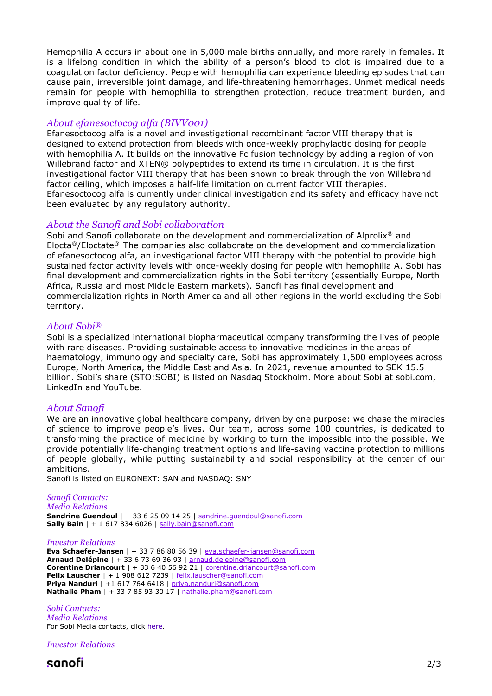Hemophilia A occurs in about one in 5,000 male births annually, and more rarely in females. It is a lifelong condition in which the ability of a person's blood to clot is impaired due to a coagulation factor deficiency. People with hemophilia can experience bleeding episodes that can cause pain, irreversible joint damage, and life-threatening hemorrhages. Unmet medical needs remain for people with hemophilia to strengthen protection, reduce treatment burden, and improve quality of life.

#### *About efanesoctocog alfa (BIVV001)*

Efanesoctocog alfa is a novel and investigational recombinant factor VIII therapy that is designed to extend protection from bleeds with once-weekly prophylactic dosing for people with hemophilia A. It builds on the innovative Fc fusion technology by adding a region of von Willebrand factor and XTEN® polypeptides to extend its time in circulation. It is the first investigational factor VIII therapy that has been shown to break through the von Willebrand factor ceiling, which imposes a half-life limitation on current factor VIII therapies. Efanesoctocog alfa is currently under clinical investigation and its safety and efficacy have not been evaluated by any regulatory authority.

#### *About the Sanofi and Sobi collaboration*

Sobi and Sanofi collaborate on the development and commercialization of Alprolix<sup>®</sup> and Elocta®/Eloctate®. The companies also collaborate on the development and commercialization of efanesoctocog alfa, an investigational factor VIII therapy with the potential to provide high sustained factor activity levels with once-weekly dosing for people with hemophilia A. Sobi has final development and commercialization rights in the Sobi territory (essentially Europe, North Africa, Russia and most Middle Eastern markets). Sanofi has final development and commercialization rights in North America and all other regions in the world excluding the Sobi territory.

#### *About Sobi®*

Sobi is a specialized international biopharmaceutical company transforming the lives of people with rare diseases. Providing sustainable access to innovative medicines in the areas of haematology, immunology and specialty care, Sobi has approximately 1,600 employees across Europe, North America, the Middle East and Asia. In 2021, revenue amounted to SEK 15.5 billion. Sobi's share (STO:SOBI) is listed on Nasdaq Stockholm. More about Sobi at sobi.com, LinkedIn and YouTube.

#### *About Sanofi*

We are an innovative global healthcare company, driven by one purpose: we chase the miracles of science to improve people's lives. Our team, across some 100 countries, is dedicated to transforming the practice of medicine by working to turn the impossible into the possible. We provide potentially life-changing treatment options and life-saving vaccine protection to millions of people globally, while putting sustainability and social responsibility at the center of our ambitions.

Sanofi is listed on EURONEXT: SAN and NASDAQ: SNY

#### *Sanofi Contacts:*

*Media Relations* **Sandrine Guendoul** | + 33 6 25 09 14 25 | [sandrine.guendoul@sanofi.com](mailto:sandrine.guendoul@sanofi.com) **Sally Bain** | + 1 617 834 6026 | [sally.bain@sanofi.com](mailto:sally.bain@sanofi.com)

#### *Investor Relations*

**Eva Schaefer-Jansen** | + 33 7 86 80 56 39 | [eva.schaefer-jansen@sanofi.com](mailto:eva.schaefer-jansen@sanofi.com) **Arnaud Delépine** | + 33 6 73 69 36 93 | [arnaud.delepine@sanofi.com](mailto:arnaud.delepine@sanofi.com) **Corentine Driancourt** | + 33 6 40 56 92 21 | [corentine.driancourt@sanofi.com](mailto:corentine.driancourt@sanofi.com) **Felix Lauscher** | + 1 908 612 7239 | [felix.lauscher@sanofi.com](mailto:felix.lauscher@sanofi.com) **Priya Nanduri** | +1 617 764 6418 | [priya.nanduri@sanofi.com](mailto:priya.nanduri@sanofi.com) **Nathalie Pham** | + 33 7 85 93 30 17 | [nathalie.pham@sanofi.com](mailto:nathalie.pham@sanofi.com)

*Sobi Contacts: Media Relations* For Sobi Media contacts, click [here.](https://www.sobi.com/en/media)

*Investor Relations*